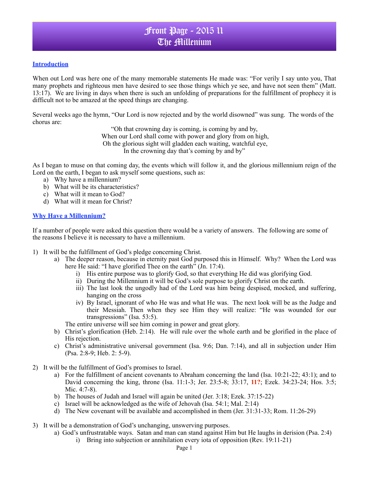#### **Introduction**

When out Lord was here one of the many memorable statements He made was: "For verily I say unto you, That many prophets and righteous men have desired to see those things which ye see, and have not seen them" (Matt. 13:17). We are living in days when there is such an unfolding of preparations for the fulfillment of prophecy it is difficult not to be amazed at the speed things are changing.

Several weeks ago the hymn, "Our Lord is now rejected and by the world disowned" was sung. The words of the chorus are:

> "Oh that crowning day is coming, is coming by and by, When our Lord shall come with power and glory from on high, Oh the glorious sight will gladden each waiting, watchful eye, In the crowning day that's coming by and by"

As I began to muse on that coming day, the events which will follow it, and the glorious millennium reign of the Lord on the earth, I began to ask myself some questions, such as:

- a) Why have a millennium?
- b) What will be its characteristics?
- c) What will it mean to God?
- d) What will it mean for Christ?

#### **Why Have a Millennium?**

If a number of people were asked this question there would be a variety of answers. The following are some of the reasons I believe it is necessary to have a millennium.

- 1) It will be the fulfillment of God's pledge concerning Christ.
	- a) The deeper reason, because in eternity past God purposed this in Himself. Why? When the Lord was here He said: "I have glorified Thee on the earth" (Jn. 17:4).
		- i) His entire purpose was to glorify God, so that everything He did was glorifying God.
		- ii) During the Millennium it will be God's sole purpose to glorify Christ on the earth.
		- iii) The last look the ungodly had of the Lord was him being despised, mocked, and suffering, hanging on the cross
		- iv) By Israel, ignorant of who He was and what He was. The next look will be as the Judge and their Messiah. Then when they see Him they will realize: "He was wounded for our transgressions" (Isa. 53:5).

The entire universe will see him coming in power and great glory.

- b) Christ's glorification (Heb. 2:14). He will rule over the whole earth and be glorified in the place of His rejection.
- c) Christ's administrative universal government (Isa. 9:6; Dan. 7:14), and all in subjection under Him (Psa. 2:8-9; Heb. 2: 5-9).
- 2) It will be the fulfillment of God's promises to Israel.
	- a) For the fulfillment of ancient covenants to Abraham concerning the land (Isa. 10:21-22; 43:1); and to David concerning the king, throne (Isa. 11:1-3; Jer. 23:5-8; 33:17, **11?**; Ezek. 34:23-24; Hos. 3:5; Mic. 4:7-8).
	- b) The houses of Judah and Israel will again be united (Jer. 3:18; Ezek. 37:15-22)
	- c) Israel will be acknowledged as the wife of Jehovah (Isa. 54:1; Mal. 2:14)
	- d) The New covenant will be available and accomplished in them (Jer. 31:31-33; Rom. 11:26-29)
- 3) It will be a demonstration of God's unchanging, unswerving purposes.
	- a) God's unfrustratable ways. Satan and man can stand against Him but He laughs in derision (Psa. 2:4)
		- i) Bring into subjection or annihilation every iota of opposition (Rev. 19:11-21)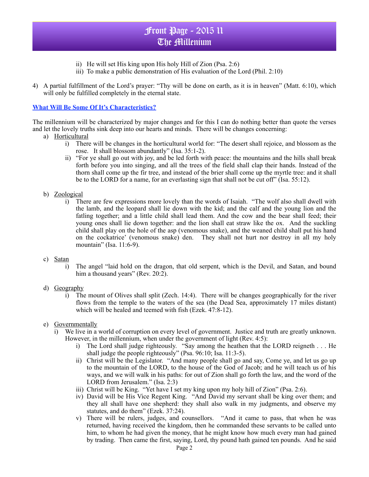- ii) He will set His king upon His holy Hill of Zion (Psa. 2:6)
- iii) To make a public demonstration of His evaluation of the Lord (Phil. 2:10)
- 4) A partial fulfillment of the Lord's prayer: "Thy will be done on earth, as it is in heaven" (Matt. 6:10), which will only be fulfilled completely in the eternal state.

### **What Will Be Some Of It's Characteristics?**

The millennium will be characterized by major changes and for this I can do nothing better than quote the verses and let the lovely truths sink deep into our hearts and minds. There will be changes concerning:

- a) Horticultural
	- i) There will be changes in the horticultural world for: "The desert shall rejoice, and blossom as the rose. It shall blossom abundantly" (Isa. 35:1-2).
	- ii) "For ye shall go out with joy, and be led forth with peace: the mountains and the hills shall break forth before you into singing, and all the trees of the field shall clap their hands. Instead of the thorn shall come up the fir tree, and instead of the brier shall come up the myrtle tree: and it shall be to the LORD for a name, for an everlasting sign that shall not be cut off" (Isa. 55:12).
- b) Zoological
	- i) There are few expressions more lovely than the words of Isaiah. "The wolf also shall dwell with the lamb, and the leopard shall lie down with the kid; and the calf and the young lion and the fatling together; and a little child shall lead them. And the cow and the bear shall feed; their young ones shall lie down together: and the lion shall eat straw like the ox. And the suckling child shall play on the hole of the asp (venomous snake), and the weaned child shall put his hand on the cockatrice' (venomous snake) den. They shall not hurt nor destroy in all my holy mountain" (Isa. 11:6-9).
- c) Satan
	- i) The angel "laid hold on the dragon, that old serpent, which is the Devil, and Satan, and bound him a thousand years" (Rev. 20:2).
- d) Geography
	- i) The mount of Olives shall split (Zech. 14:4). There will be changes geographically for the river flows from the temple to the waters of the sea (the Dead Sea, approximately 17 miles distant) which will be healed and teemed with fish (Ezek. 47:8-12).
- e) Governmentally
	- i) We live in a world of corruption on every level of government. Justice and truth are greatly unknown. However, in the millennium, when under the government of light (Rev. 4:5):
		- i) The Lord shall judge righteously. "Say among the heathen that the LORD reigneth . . . He shall judge the people righteously" (Psa. 96:10; Isa. 11:3-5).
		- ii) Christ will be the Legislator. "And many people shall go and say, Come ye, and let us go up to the mountain of the LORD, to the house of the God of Jacob; and he will teach us of his ways, and we will walk in his paths: for out of Zion shall go forth the law, and the word of the LORD from Jerusalem." (Isa. 2:3)
		- iii) Christ will be King. "Yet have I set my king upon my holy hill of Zion" (Psa. 2:6).
		- iv) David will be His Vice Regent King. "And David my servant shall be king over them; and they all shall have one shepherd: they shall also walk in my judgments, and observe my statutes, and do them" (Ezek. 37:24).
		- v) There will be rulers, judges, and counsellors. "And it came to pass, that when he was returned, having received the kingdom, then he commanded these servants to be called unto him, to whom he had given the money, that he might know how much every man had gained by trading. Then came the first, saying, Lord, thy pound hath gained ten pounds. And he said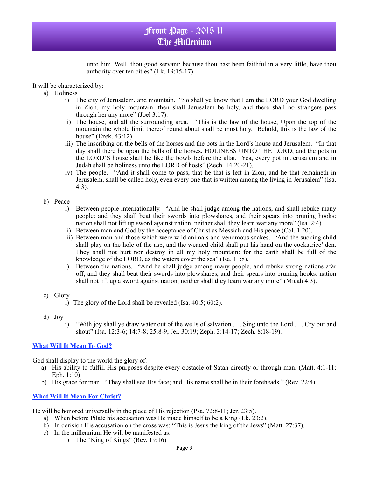unto him, Well, thou good servant: because thou hast been faithful in a very little, have thou authority over ten cities" (Lk. 19:15-17).

It will be characterized by:

- a) Holiness
	- i) The city of Jerusalem, and mountain. "So shall ye know that I am the LORD your God dwelling in Zion, my holy mountain: then shall Jerusalem be holy, and there shall no strangers pass through her any more" (Joel 3:17).
	- ii) The house, and all the surrounding area. "This is the law of the house; Upon the top of the mountain the whole limit thereof round about shall be most holy. Behold, this is the law of the house" (Ezek. 43:12).
	- iii) The inscribing on the bells of the horses and the pots in the Lord's house and Jerusalem. "In that day shall there be upon the bells of the horses, HOLINESS UNTO THE LORD; and the pots in the LORD'S house shall be like the bowls before the altar. Yea, every pot in Jerusalem and in Judah shall be holiness unto the LORD of hosts" (Zech. 14:20-21).
	- iv) The people. "And it shall come to pass, that he that is left in Zion, and he that remaineth in Jerusalem, shall be called holy, even every one that is written among the living in Jerusalem" (Isa. 4:3).

### b) Peace

- i) Between people internationally. "And he shall judge among the nations, and shall rebuke many people: and they shall beat their swords into plowshares, and their spears into pruning hooks: nation shall not lift up sword against nation, neither shall they learn war any more" (Isa. 2:4).
- ii) Between man and God by the acceptance of Christ as Messiah and His peace (Col. 1:20).
- iii) Between man and those which were wild animals and venomous snakes. "And the sucking child shall play on the hole of the asp, and the weaned child shall put his hand on the cockatrice' den. They shall not hurt nor destroy in all my holy mountain: for the earth shall be full of the knowledge of the LORD, as the waters cover the sea" (Isa. 11:8).
- i) Between the nations. "And he shall judge among many people, and rebuke strong nations afar off; and they shall beat their swords into plowshares, and their spears into pruning hooks: nation shall not lift up a sword against nation, neither shall they learn war any more" (Micah 4:3).
- c) Glory
	- i) The glory of the Lord shall be revealed (Isa. 40:5; 60:2).
- d) Joy
	- i) "With joy shall ye draw water out of the wells of salvation . . . Sing unto the Lord . . . Cry out and shout" (Isa. 12:3-6; 14:7-8; 25:8-9; Jer. 30:19; Zeph. 3:14-17; Zech. 8:18-19).

## **What Will It Mean To God?**

God shall display to the world the glory of:

- a) His ability to fulfill His purposes despite every obstacle of Satan directly or through man. (Matt. 4:1-11; Eph. 1:10)
- b) His grace for man. "They shall see His face; and His name shall be in their foreheads." (Rev. 22:4)

### **What Will It Mean For Christ?**

He will be honored universally in the place of His rejection (Psa. 72:8-11; Jer. 23:5).

- a) When before Pilate his accusation was He made himself to be a King (Lk. 23:2).
- b) In derision His accusation on the cross was: "This is Jesus the king of the Jews" (Matt. 27:37).
- c) In the millennium He will be manifested as:
	- i) The "King of Kings" (Rev. 19:16)